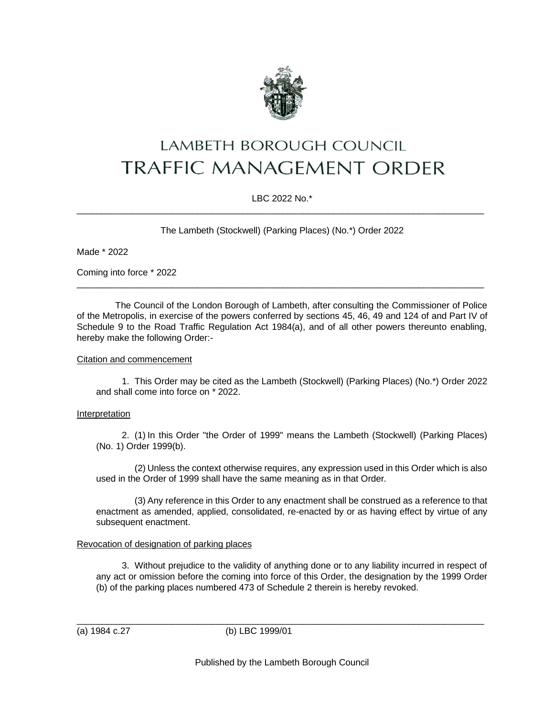

# LAMBETH BOROUGH COUNCIL **TRAFFIC MANAGEMENT ORDER**

## LBC 2022 No.\* \_\_\_\_\_\_\_\_\_\_\_\_\_\_\_\_\_\_\_\_\_\_\_\_\_\_\_\_\_\_\_\_\_\_\_\_\_\_\_\_\_\_\_\_\_\_\_\_\_\_\_\_\_\_\_\_\_\_\_\_\_\_\_\_\_\_\_\_\_\_\_\_\_\_\_\_\_\_\_\_\_

The Lambeth (Stockwell) (Parking Places) (No.\*) Order 2022

Made \* 2022

Coming into force \* 2022

The Council of the London Borough of Lambeth, after consulting the Commissioner of Police of the Metropolis, in exercise of the powers conferred by sections 45, 46, 49 and 124 of and Part IV of Schedule 9 to the Road Traffic Regulation Act 1984(a), and of all other powers thereunto enabling, hereby make the following Order:-

\_\_\_\_\_\_\_\_\_\_\_\_\_\_\_\_\_\_\_\_\_\_\_\_\_\_\_\_\_\_\_\_\_\_\_\_\_\_\_\_\_\_\_\_\_\_\_\_\_\_\_\_\_\_\_\_\_\_\_\_\_\_\_\_\_\_\_\_\_\_\_\_\_\_\_\_\_\_\_\_\_

#### Citation and commencement

1. This Order may be cited as the Lambeth (Stockwell) (Parking Places) (No.\*) Order 2022 and shall come into force on \* 2022.

## Interpretation

2. (1) In this Order "the Order of 1999" means the Lambeth (Stockwell) (Parking Places) (No. 1) Order 1999(b).

(2) Unless the context otherwise requires, any expression used in this Order which is also used in the Order of 1999 shall have the same meaning as in that Order.

(3) Any reference in this Order to any enactment shall be construed as a reference to that enactment as amended, applied, consolidated, re-enacted by or as having effect by virtue of any subsequent enactment.

## Revocation of designation of parking places

3. Without prejudice to the validity of anything done or to any liability incurred in respect of any act or omission before the coming into force of this Order, the designation by the 1999 Order (b) of the parking places numbered 473 of Schedule 2 therein is hereby revoked.

(a) 1984 c.27 (b) LBC 1999/01

\_\_\_\_\_\_\_\_\_\_\_\_\_\_\_\_\_\_\_\_\_\_\_\_\_\_\_\_\_\_\_\_\_\_\_\_\_\_\_\_\_\_\_\_\_\_\_\_\_\_\_\_\_\_\_\_\_\_\_\_\_\_\_\_\_\_\_\_\_\_\_\_\_\_\_\_\_\_\_\_\_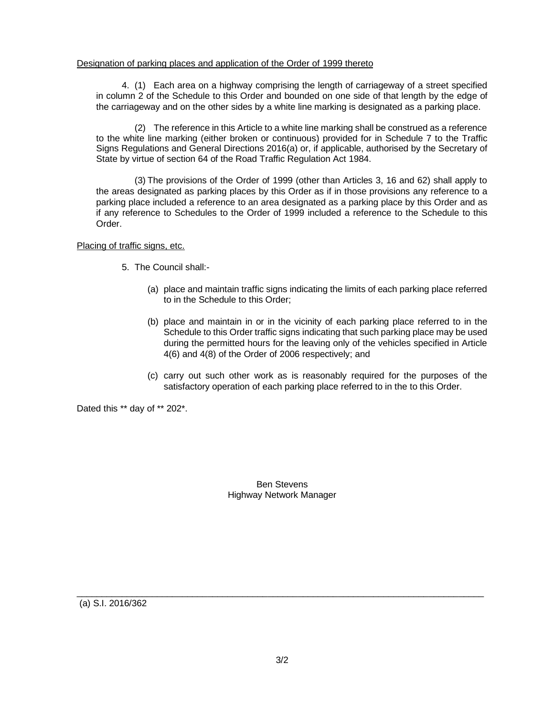#### Designation of parking places and application of the Order of 1999 thereto

4. (1) Each area on a highway comprising the length of carriageway of a street specified in column 2 of the Schedule to this Order and bounded on one side of that length by the edge of the carriageway and on the other sides by a white line marking is designated as a parking place.

(2) The reference in this Article to a white line marking shall be construed as a reference to the white line marking (either broken or continuous) provided for in Schedule 7 to the Traffic Signs Regulations and General Directions 2016(a) or, if applicable, authorised by the Secretary of State by virtue of section 64 of the Road Traffic Regulation Act 1984.

(3) The provisions of the Order of 1999 (other than Articles 3, 16 and 62) shall apply to the areas designated as parking places by this Order as if in those provisions any reference to a parking place included a reference to an area designated as a parking place by this Order and as if any reference to Schedules to the Order of 1999 included a reference to the Schedule to this Order.

Placing of traffic signs, etc.

- 5. The Council shall:-
	- (a) place and maintain traffic signs indicating the limits of each parking place referred to in the Schedule to this Order;
	- (b) place and maintain in or in the vicinity of each parking place referred to in the Schedule to this Order traffic signs indicating that such parking place may be used during the permitted hours for the leaving only of the vehicles specified in Article 4(6) and 4(8) of the Order of 2006 respectively; and
	- (c) carry out such other work as is reasonably required for the purposes of the satisfactory operation of each parking place referred to in the to this Order.

Dated this \*\* day of \*\* 202\*.

Ben Stevens Highway Network Manager

(a) S.I. 2016/362

\_\_\_\_\_\_\_\_\_\_\_\_\_\_\_\_\_\_\_\_\_\_\_\_\_\_\_\_\_\_\_\_\_\_\_\_\_\_\_\_\_\_\_\_\_\_\_\_\_\_\_\_\_\_\_\_\_\_\_\_\_\_\_\_\_\_\_\_\_\_\_\_\_\_\_\_\_\_\_\_\_